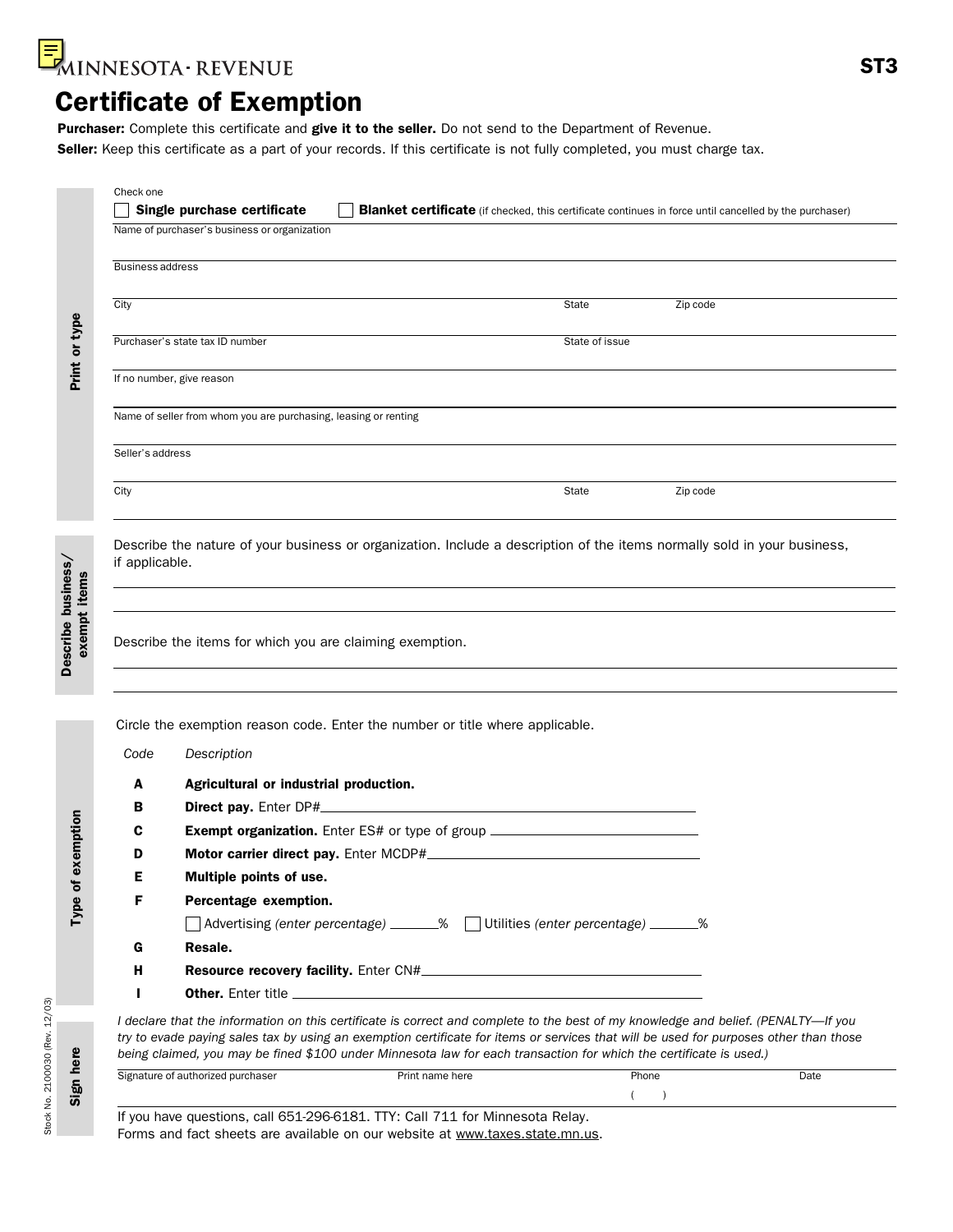

### Certificate of Exemption

Purchaser: Complete this certificate and give it to the seller. Do not send to the Department of Revenue. Seller: Keep this certificate as a part of your records. If this certificate is not fully completed, you must charge tax.

|                         | Name of purchaser's business or organization                                                                             |                |          |
|-------------------------|--------------------------------------------------------------------------------------------------------------------------|----------------|----------|
| <b>Business address</b> |                                                                                                                          |                |          |
|                         |                                                                                                                          |                |          |
| City                    |                                                                                                                          | State          | Zip code |
|                         | Purchaser's state tax ID number                                                                                          | State of issue |          |
|                         | If no number, give reason                                                                                                |                |          |
|                         | Name of seller from whom you are purchasing, leasing or renting                                                          |                |          |
| Seller's address        |                                                                                                                          |                |          |
|                         |                                                                                                                          |                |          |
| City<br>if applicable.  | Describe the nature of your business or organization. Include a description of the items normally sold in your business, | State          | Zip code |
|                         | Describe the items for which you are claiming exemption.                                                                 |                |          |
|                         | Circle the exemption reason code. Enter the number or title where applicable.                                            |                |          |
| Code                    | Description                                                                                                              |                |          |
| A                       |                                                                                                                          |                |          |
| в                       | Agricultural or industrial production.<br>Direct pay. Enter DP#_                                                         |                |          |
| С                       | Exempt organization. Enter ES# or type of group ________________________________                                         |                |          |
| D                       |                                                                                                                          |                |          |
| Е                       | Multiple points of use.                                                                                                  |                |          |

*I declare that the information on this certificate is correct and complete to the best of my knowledge and belief. (PENALTY*—*If you try to evade paying sales tax by using an exemption certificate for items or services that will be used for purposes other than those being claimed, you may be fined \$100 under Minnesota law for each transaction for which the certificate is used.)*

| ™ purchaser<br>' authorized<br>.<br>. . | Print<br>here<br>nam<br>. | Phone | Date |
|-----------------------------------------|---------------------------|-------|------|
|                                         |                           |       |      |

If you have questions, call 651-296-6181. TTY: Call 711 for Minnesota Relay. Forms and fact sheets are available on our website at www.taxes.state.mn.us.

H Resource recovery facility. Enter CN#\_

I Other. Enter title

Sign here

Describe business/

Describe business/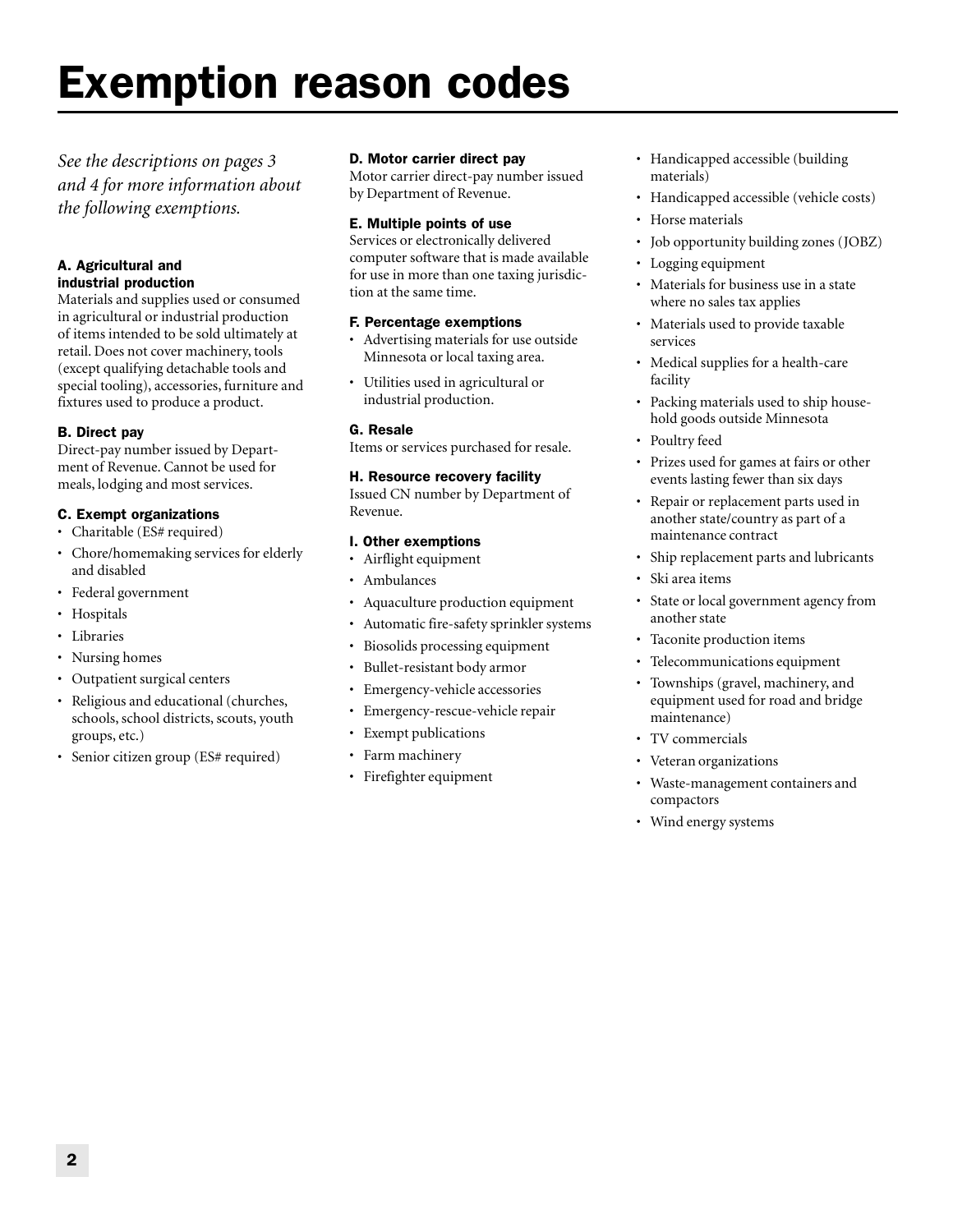### Exemption reason codes

*See the descriptions on pages 3 and 4 for more information about the following exemptions.*

#### A. Agricultural and industrial production

Materials and supplies used or consumed in agricultural or industrial production of items intended to be sold ultimately at retail. Does not cover machinery, tools (except qualifying detachable tools and special tooling), accessories, furniture and fixtures used to produce a product.

#### B. Direct pay

Direct-pay number issued by Department of Revenue. Cannot be used for meals, lodging and most services.

#### C. Exempt organizations

- Charitable (ES# required)
- Chore/homemaking services for elderly and disabled
- Federal government
- Hospitals
- Libraries
- Nursing homes
- Outpatient surgical centers
- Religious and educational (churches, schools, school districts, scouts, youth groups, etc.)
- Senior citizen group (ES# required)

#### D. Motor carrier direct pay

Motor carrier direct-pay number issued by Department of Revenue.

#### E. Multiple points of use

Services or electronically delivered computer software that is made available for use in more than one taxing jurisdiction at the same time.

#### F. Percentage exemptions

- Advertising materials for use outside Minnesota or local taxing area.
- Utilities used in agricultural or industrial production.

#### G. Resale

Items or services purchased for resale.

#### H. Resource recovery facility

Issued CN number by Department of Revenue.

#### I. Other exemptions

- Airflight equipment
- Ambulances
- Aquaculture production equipment
- Automatic fire-safety sprinkler systems
- Biosolids processing equipment
- Bullet-resistant body armor
- Emergency-vehicle accessories
- Emergency-rescue-vehicle repair
- Exempt publications
- Farm machinery
- Firefighter equipment
- Handicapped accessible (building materials)
- Handicapped accessible (vehicle costs)
- Horse materials
- Job opportunity building zones (JOBZ)
- Logging equipment
- Materials for business use in a state where no sales tax applies
- Materials used to provide taxable services
- Medical supplies for a health-care facility
- Packing materials used to ship household goods outside Minnesota
- Poultry feed
- Prizes used for games at fairs or other events lasting fewer than six days
- Repair or replacement parts used in another state/country as part of a maintenance contract
- Ship replacement parts and lubricants
- Ski area items
- State or local government agency from another state
- Taconite production items
- Telecommunications equipment
- Townships (gravel, machinery, and equipment used for road and bridge maintenance)
- TV commercials
- Veteran organizations
- Waste-management containers and compactors
- Wind energy systems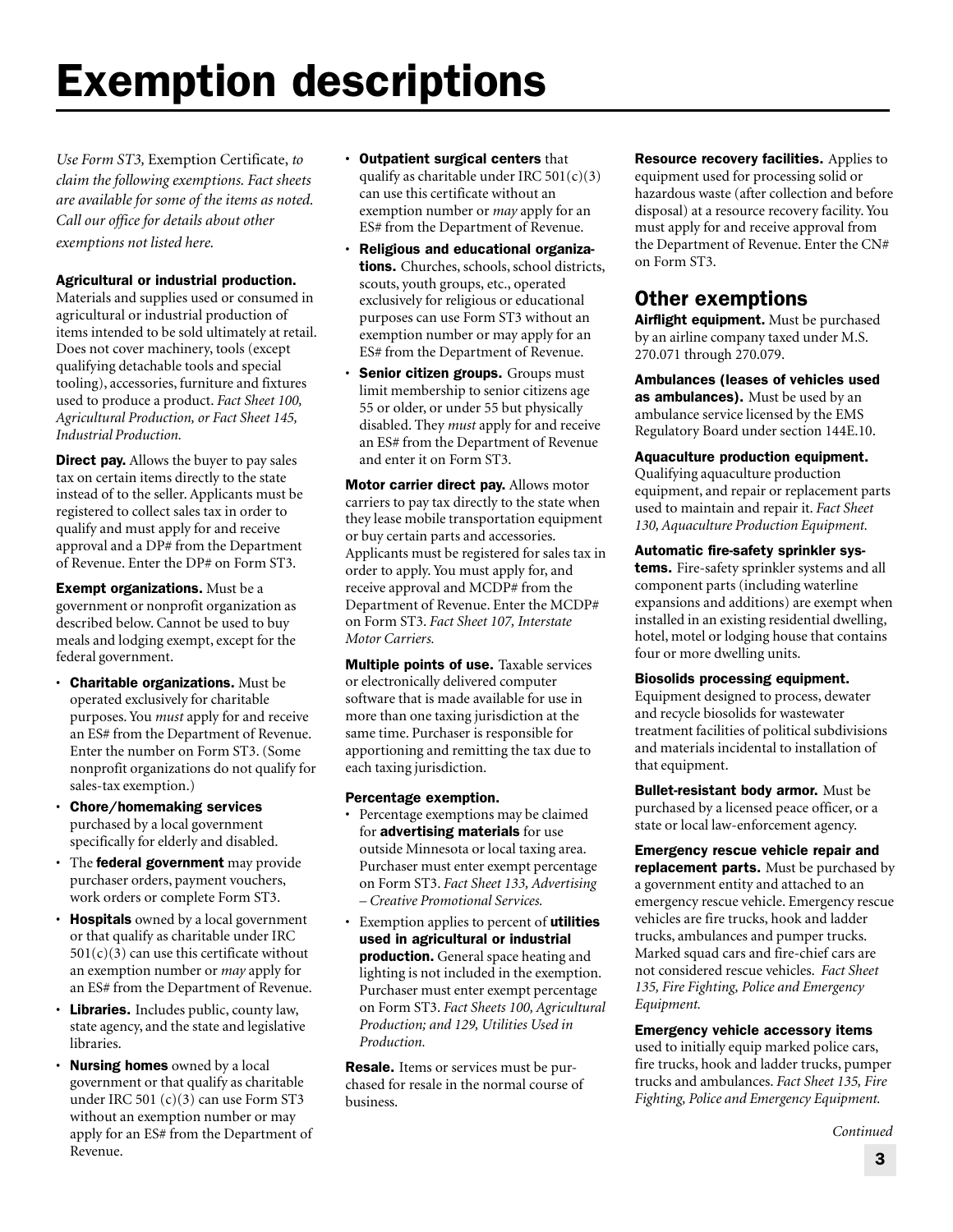# Exemption descriptions

*Use Form ST3,* Exemption Certificate, *to claim the following exemptions. Fact sheets are available for some of the items as noted. Call our office for details about other exemptions not listed here.*

#### Agricultural or industrial production.

Materials and supplies used or consumed in agricultural or industrial production of items intended to be sold ultimately at retail. Does not cover machinery, tools (except qualifying detachable tools and special tooling), accessories, furniture and fixtures used to produce a product. *Fact Sheet 100, Agricultural Production, or Fact Sheet 145, Industrial Production.*

**Direct pay.** Allows the buyer to pay sales tax on certain items directly to the state instead of to the seller. Applicants must be registered to collect sales tax in order to qualify and must apply for and receive approval and a DP# from the Department of Revenue. Enter the DP# on Form ST3.

Exempt organizations. Must be a government or nonprofit organization as described below. Cannot be used to buy meals and lodging exempt, except for the federal government.

- Charitable organizations. Must be operated exclusively for charitable purposes. You *must* apply for and receive an ES# from the Department of Revenue. Enter the number on Form ST3. (Some nonprofit organizations do not qualify for sales-tax exemption.)
- Chore/homemaking services purchased by a local government specifically for elderly and disabled.
- The federal government may provide purchaser orders, payment vouchers, work orders or complete Form ST3.
- Hospitals owned by a local government or that qualify as charitable under IRC  $501(c)(3)$  can use this certificate without an exemption number or *may* apply for an ES# from the Department of Revenue.
- Libraries. Includes public, county law, state agency, and the state and legislative libraries.
- Nursing homes owned by a local government or that qualify as charitable under IRC 501 (c)(3) can use Form ST3 without an exemption number or may apply for an ES# from the Department of Revenue.
- **•** Outpatient surgical centers that qualify as charitable under IRC  $501(c)(3)$ can use this certificate without an exemption number or *may* apply for an ES# from the Department of Revenue.
- Religious and educational organizations. Churches, schools, school districts, scouts, youth groups, etc., operated exclusively for religious or educational purposes can use Form ST3 without an exemption number or may apply for an ES# from the Department of Revenue.
- Senior citizen groups. Groups must limit membership to senior citizens age 55 or older, or under 55 but physically disabled. They *must* apply for and receive an ES# from the Department of Revenue and enter it on Form ST3.

Motor carrier direct pay. Allows motor carriers to pay tax directly to the state when they lease mobile transportation equipment or buy certain parts and accessories. Applicants must be registered for sales tax in order to apply. You must apply for, and receive approval and MCDP# from the Department of Revenue. Enter the MCDP# on Form ST3. *Fact Sheet 107, Interstate Motor Carriers.*

**Multiple points of use.** Taxable services or electronically delivered computer software that is made available for use in more than one taxing jurisdiction at the same time. Purchaser is responsible for apportioning and remitting the tax due to each taxing jurisdiction.

#### Percentage exemption.

- Percentage exemptions may be claimed for advertising materials for use outside Minnesota or local taxing area. Purchaser must enter exempt percentage on Form ST3. *Fact Sheet 133, Advertising – Creative Promotional Services.*
- Exemption applies to percent of **utilities** used in agricultural or industrial production. General space heating and lighting is not included in the exemption. Purchaser must enter exempt percentage on Form ST3. *Fact Sheets 100, Agricultural Production; and 129, Utilities Used in Production.*

**Resale.** Items or services must be purchased for resale in the normal course of business.

**Resource recovery facilities.** Applies to equipment used for processing solid or hazardous waste (after collection and before disposal) at a resource recovery facility. You must apply for and receive approval from the Department of Revenue. Enter the CN# on Form ST3.

### Other exemptions

Airflight equipment. Must be purchased by an airline company taxed under M.S. 270.071 through 270.079.

Ambulances (leases of vehicles used as ambulances). Must be used by an ambulance service licensed by the EMS Regulatory Board under section 144E.10.

#### Aquaculture production equipment.

Qualifying aquaculture production equipment, and repair or replacement parts used to maintain and repair it. *Fact Sheet 130, Aquaculture Production Equipment.*

#### Automatic fire-safety sprinkler sys-

tems. Fire-safety sprinkler systems and all component parts (including waterline expansions and additions) are exempt when installed in an existing residential dwelling, hotel, motel or lodging house that contains four or more dwelling units.

#### Biosolids processing equipment.

Equipment designed to process, dewater and recycle biosolids for wastewater treatment facilities of political subdivisions and materials incidental to installation of that equipment.

Bullet-resistant body armor. Must be purchased by a licensed peace officer, or a state or local law-enforcement agency.

Emergency rescue vehicle repair and replacement parts. Must be purchased by a government entity and attached to an emergency rescue vehicle. Emergency rescue vehicles are fire trucks, hook and ladder trucks, ambulances and pumper trucks. Marked squad cars and fire-chief cars are not considered rescue vehicles. *Fact Sheet 135, Fire Fighting, Police and Emergency Equipment.*

#### Emergency vehicle accessory items

used to initially equip marked police cars, fire trucks, hook and ladder trucks, pumper trucks and ambulances. *Fact Sheet 135, Fire Fighting, Police and Emergency Equipment.*

*Continued*